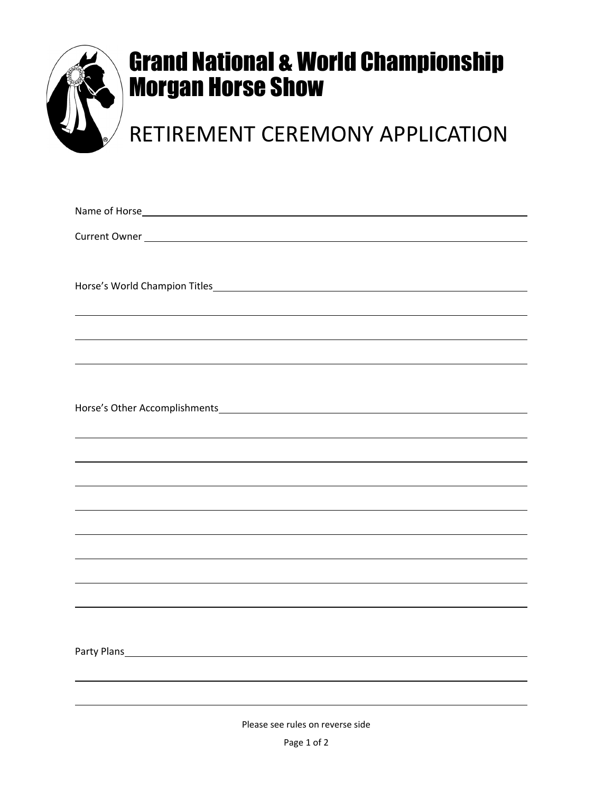

## Grand National & World Championship Morgan Horse Show

## RETIREMENT CEREMONY APPLICATION